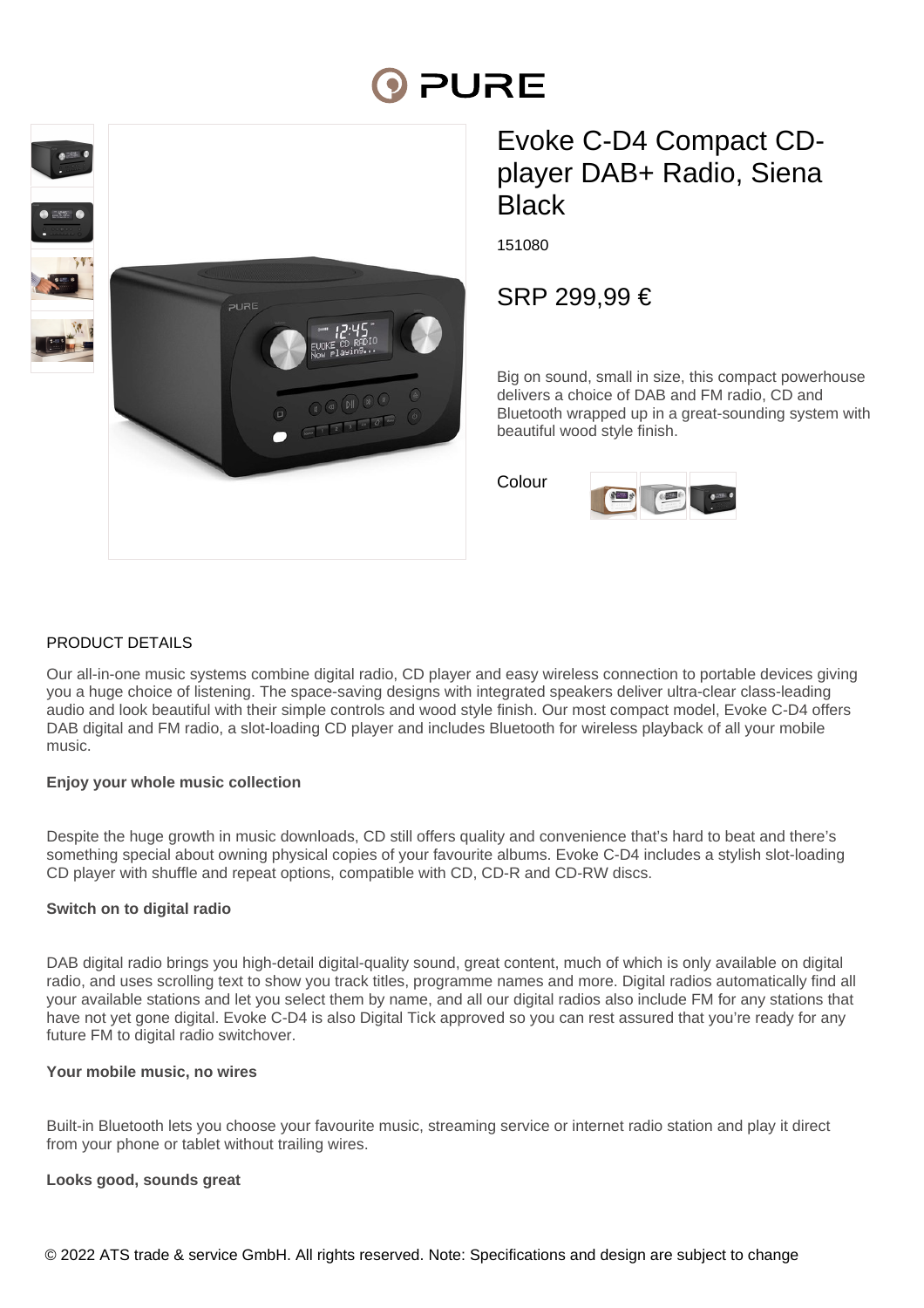# PURE



## Evoke C-D4 Compact CDplayer DAB+ Radio, Siena **Black**

151080

### SRP 299,99 €

Big on sound, small in size, this compact powerhouse delivers a choice of DAB and FM radio, CD and Bluetooth wrapped up in a great-sounding system with beautiful wood style finish.

Colour



#### PRODUCT DETAILS

Our all-in-one music systems combine digital radio, CD player and easy wireless connection to portable devices giving you a huge choice of listening. The space-saving designs with integrated speakers deliver ultra-clear class-leading audio and look beautiful with their simple controls and wood style finish. Our most compact model, Evoke C-D4 offers DAB digital and FM radio, a slot-loading CD player and includes Bluetooth for wireless playback of all your mobile music.

#### **Enjoy your whole music collection**

Despite the huge growth in music downloads, CD still offers quality and convenience that's hard to beat and there's something special about owning physical copies of your favourite albums. Evoke C-D4 includes a stylish slot-loading CD player with shuffle and repeat options, compatible with CD, CD-R and CD-RW discs.

#### **Switch on to digital radio**

DAB digital radio brings you high-detail digital-quality sound, great content, much of which is only available on digital radio, and uses scrolling text to show you track titles, programme names and more. Digital radios automatically find all your available stations and let you select them by name, and all our digital radios also include FM for any stations that have not yet gone digital. Evoke C-D4 is also Digital Tick approved so you can rest assured that you're ready for any future FM to digital radio switchover.

#### **Your mobile music, no wires**

Built-in Bluetooth lets you choose your favourite music, streaming service or internet radio station and play it direct from your phone or tablet without trailing wires.

#### **Looks good, sounds great**